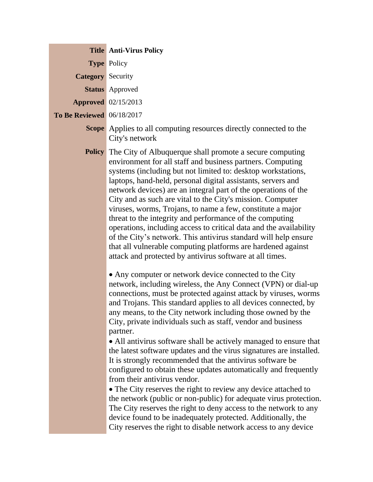|  | <b>Title Anti-Virus Policy</b>                                                                                                                                                                                                                                                                                                                                                                                                                                                                                                                                                                                                                                                                                                                                                                                                                                                                                                                                                                                                                                                                                                                                                                                                                                                                                                                                                                                                                                                                                                                                                                                                                                                                                                                                                                                                                                            |
|--|---------------------------------------------------------------------------------------------------------------------------------------------------------------------------------------------------------------------------------------------------------------------------------------------------------------------------------------------------------------------------------------------------------------------------------------------------------------------------------------------------------------------------------------------------------------------------------------------------------------------------------------------------------------------------------------------------------------------------------------------------------------------------------------------------------------------------------------------------------------------------------------------------------------------------------------------------------------------------------------------------------------------------------------------------------------------------------------------------------------------------------------------------------------------------------------------------------------------------------------------------------------------------------------------------------------------------------------------------------------------------------------------------------------------------------------------------------------------------------------------------------------------------------------------------------------------------------------------------------------------------------------------------------------------------------------------------------------------------------------------------------------------------------------------------------------------------------------------------------------------------|
|  | <b>Type Policy</b>                                                                                                                                                                                                                                                                                                                                                                                                                                                                                                                                                                                                                                                                                                                                                                                                                                                                                                                                                                                                                                                                                                                                                                                                                                                                                                                                                                                                                                                                                                                                                                                                                                                                                                                                                                                                                                                        |
|  | <b>Category</b> Security                                                                                                                                                                                                                                                                                                                                                                                                                                                                                                                                                                                                                                                                                                                                                                                                                                                                                                                                                                                                                                                                                                                                                                                                                                                                                                                                                                                                                                                                                                                                                                                                                                                                                                                                                                                                                                                  |
|  | <b>Status</b> Approved                                                                                                                                                                                                                                                                                                                                                                                                                                                                                                                                                                                                                                                                                                                                                                                                                                                                                                                                                                                                                                                                                                                                                                                                                                                                                                                                                                                                                                                                                                                                                                                                                                                                                                                                                                                                                                                    |
|  | <b>Approved</b> 02/15/2013                                                                                                                                                                                                                                                                                                                                                                                                                                                                                                                                                                                                                                                                                                                                                                                                                                                                                                                                                                                                                                                                                                                                                                                                                                                                                                                                                                                                                                                                                                                                                                                                                                                                                                                                                                                                                                                |
|  | <b>To Be Reviewed</b> 06/18/2017                                                                                                                                                                                                                                                                                                                                                                                                                                                                                                                                                                                                                                                                                                                                                                                                                                                                                                                                                                                                                                                                                                                                                                                                                                                                                                                                                                                                                                                                                                                                                                                                                                                                                                                                                                                                                                          |
|  | <b>Scope</b> Applies to all computing resources directly connected to the<br>City's network                                                                                                                                                                                                                                                                                                                                                                                                                                                                                                                                                                                                                                                                                                                                                                                                                                                                                                                                                                                                                                                                                                                                                                                                                                                                                                                                                                                                                                                                                                                                                                                                                                                                                                                                                                               |
|  | <b>Policy</b> The City of Albuquerque shall promote a secure computing<br>environment for all staff and business partners. Computing<br>systems (including but not limited to: desktop workstations,<br>laptops, hand-held, personal digital assistants, servers and<br>network devices) are an integral part of the operations of the<br>City and as such are vital to the City's mission. Computer<br>viruses, worms, Trojans, to name a few, constitute a major<br>threat to the integrity and performance of the computing<br>operations, including access to critical data and the availability<br>of the City's network. This antivirus standard will help ensure<br>that all vulnerable computing platforms are hardened against<br>attack and protected by antivirus software at all times.<br>• Any computer or network device connected to the City<br>network, including wireless, the Any Connect (VPN) or dial-up<br>connections, must be protected against attack by viruses, worms<br>and Trojans. This standard applies to all devices connected, by<br>any means, to the City network including those owned by the<br>City, private individuals such as staff, vendor and business<br>partner.<br>• All antivirus software shall be actively managed to ensure that<br>the latest software updates and the virus signatures are installed.<br>It is strongly recommended that the antivirus software be<br>configured to obtain these updates automatically and frequently<br>from their antivirus vendor.<br>• The City reserves the right to review any device attached to<br>the network (public or non-public) for adequate virus protection.<br>The City reserves the right to deny access to the network to any<br>device found to be inadequately protected. Additionally, the<br>City reserves the right to disable network access to any device |